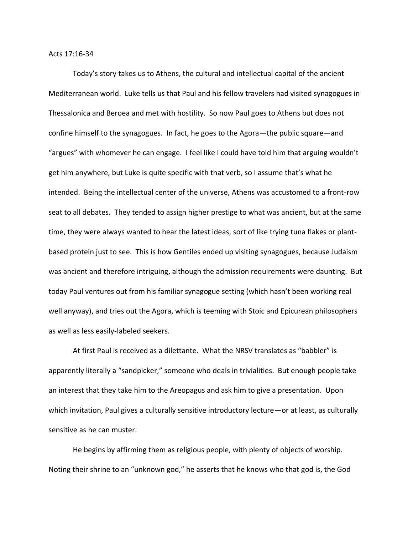Acts 17:16-34

Today's story takes us to Athens, the cultural and intellectual capital of the ancient Mediterranean world. Luke tells us that Paul and his fellow travelers had visited synagogues in Thessalonica and Beroea and met with hostility. So now Paul goes to Athens but does not confine himself to the synagogues. In fact, he goes to the Agora—the public square—and "argues" with whomever he can engage. I feel like I could have told him that arguing wouldn't get him anywhere, but Luke is quite specific with that verb, so I assume that's what he intended. Being the intellectual center of the universe, Athens was accustomed to a front-row seat to all debates. They tended to assign higher prestige to what was ancient, but at the same time, they were always wanted to hear the latest ideas, sort of like trying tuna flakes or plantbased protein just to see. This is how Gentiles ended up visiting synagogues, because Judaism was ancient and therefore intriguing, although the admission requirements were daunting. But today Paul ventures out from his familiar synagogue setting (which hasn't been working real well anyway), and tries out the Agora, which is teeming with Stoic and Epicurean philosophers as well as less easily-labeled seekers.

At first Paul is received as a dilettante. What the NRSV translates as "babbler" is apparently literally a "sandpicker," someone who deals in trivialities. But enough people take an interest that they take him to the Areopagus and ask him to give a presentation. Upon which invitation, Paul gives a culturally sensitive introductory lecture—or at least, as culturally sensitive as he can muster.

He begins by affirming them as religious people, with plenty of objects of worship. Noting their shrine to an "unknown god," he asserts that he knows who that god is, the God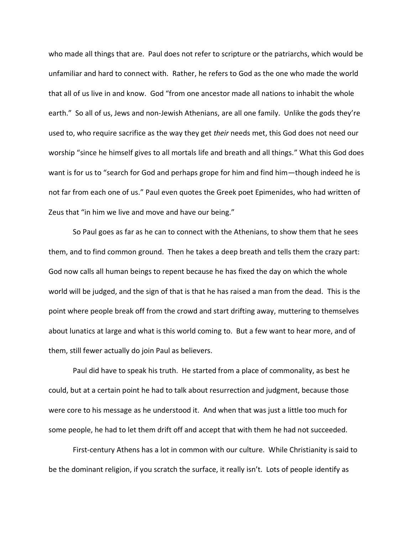who made all things that are. Paul does not refer to scripture or the patriarchs, which would be unfamiliar and hard to connect with. Rather, he refers to God as the one who made the world that all of us live in and know. God "from one ancestor made all nations to inhabit the whole earth." So all of us, Jews and non-Jewish Athenians, are all one family. Unlike the gods they're used to, who require sacrifice as the way they get *their* needs met, this God does not need our worship "since he himself gives to all mortals life and breath and all things." What this God does want is for us to "search for God and perhaps grope for him and find him—though indeed he is not far from each one of us." Paul even quotes the Greek poet Epimenides, who had written of Zeus that "in him we live and move and have our being."

So Paul goes as far as he can to connect with the Athenians, to show them that he sees them, and to find common ground. Then he takes a deep breath and tells them the crazy part: God now calls all human beings to repent because he has fixed the day on which the whole world will be judged, and the sign of that is that he has raised a man from the dead. This is the point where people break off from the crowd and start drifting away, muttering to themselves about lunatics at large and what is this world coming to. But a few want to hear more, and of them, still fewer actually do join Paul as believers.

Paul did have to speak his truth. He started from a place of commonality, as best he could, but at a certain point he had to talk about resurrection and judgment, because those were core to his message as he understood it. And when that was just a little too much for some people, he had to let them drift off and accept that with them he had not succeeded.

First-century Athens has a lot in common with our culture. While Christianity is said to be the dominant religion, if you scratch the surface, it really isn't. Lots of people identify as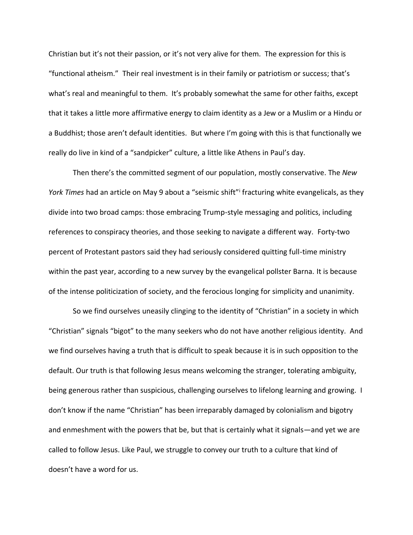Christian but it's not their passion, or it's not very alive for them. The expression for this is "functional atheism." Their real investment is in their family or patriotism or success; that's what's real and meaningful to them. It's probably somewhat the same for other faiths, except that it takes a little more affirmative energy to claim identity as a Jew or a Muslim or a Hindu or a Buddhist; those aren't default identities. But where I'm going with this is that functionally we really do live in kind of a "sandpicker" culture, a little like Athens in Paul's day.

Then there's the committed segment of our population, mostly conservative. The *New York Times* had an article on May 9 about a "seismic shift"<sup>i</sup> fracturing white evangelicals, as they divide into two broad camps: those embracing Trump-style messaging and politics, including references to conspiracy theories, and those seeking to navigate a different way. Forty-two percent of Protestant pastors said they had seriously considered quitting full-time ministry within the past year, according to a new survey by the evangelical pollster Barna. It is because of the intense politicization of society, and the ferocious longing for simplicity and unanimity.

So we find ourselves uneasily clinging to the identity of "Christian" in a society in which "Christian" signals "bigot" to the many seekers who do not have another religious identity. And we find ourselves having a truth that is difficult to speak because it is in such opposition to the default. Our truth is that following Jesus means welcoming the stranger, tolerating ambiguity, being generous rather than suspicious, challenging ourselves to lifelong learning and growing. I don't know if the name "Christian" has been irreparably damaged by colonialism and bigotry and enmeshment with the powers that be, but that is certainly what it signals—and yet we are called to follow Jesus. Like Paul, we struggle to convey our truth to a culture that kind of doesn't have a word for us.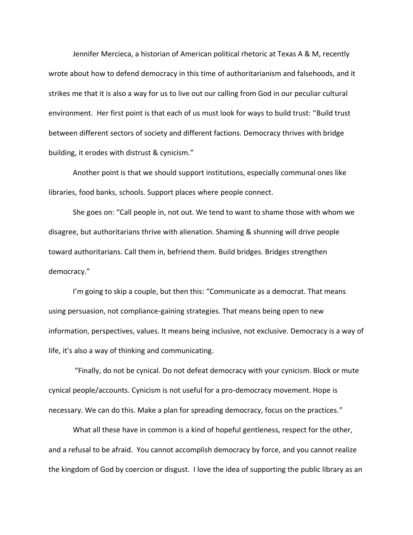Jennifer Mercieca, a historian of American political rhetoric at Texas A & M, recently wrote about how to defend democracy in this time of authoritarianism and falsehoods, and it strikes me that it is also a way for us to live out our calling from God in our peculiar cultural environment. Her first point is that each of us must look for ways to build trust: "Build trust between different sectors of society and different factions. Democracy thrives with bridge building, it erodes with distrust & cynicism."

Another point is that we should support institutions, especially communal ones like libraries, food banks, schools. Support places where people connect.

She goes on: "Call people in, not out. We tend to want to shame those with whom we disagree, but authoritarians thrive with alienation. Shaming & shunning will drive people toward authoritarians. Call them in, befriend them. Build bridges. Bridges strengthen democracy."

I'm going to skip a couple, but then this: "Communicate as a democrat. That means using persuasion, not compliance-gaining strategies. That means being open to new information, perspectives, values. It means being inclusive, not exclusive. Democracy is a way of life, it's also a way of thinking and communicating.

"Finally, do not be cynical. Do not defeat democracy with your cynicism. Block or mute cynical people/accounts. Cynicism is not useful for a pro-democracy movement. Hope is necessary. We can do this. Make a plan for spreading democracy, focus on the practices."

What all these have in common is a kind of hopeful gentleness, respect for the other, and a refusal to be afraid. You cannot accomplish democracy by force, and you cannot realize the kingdom of God by coercion or disgust. I love the idea of supporting the public library as an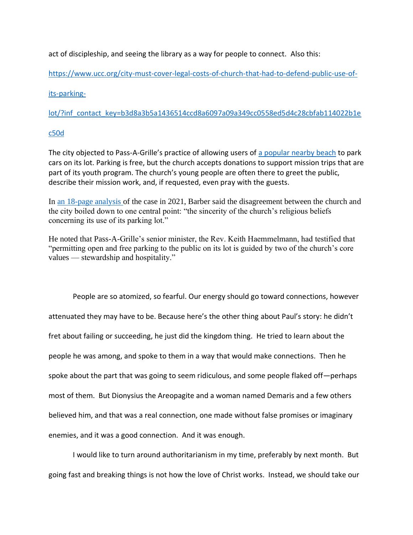act of discipleship, and seeing the library as a way for people to connect. Also this:

[https://www.ucc.org/city-must-cover-legal-costs-of-church-that-had-to-defend-public-use-of-](https://www.ucc.org/city-must-cover-legal-costs-of-church-that-had-to-defend-public-use-of-its-parking-lot/?inf_contact_key=b3d8a3b5a1436514ccd8a6097a09a349cc0558ed5d4c28cbfab114022b1ec50d)

## [its-parking-](https://www.ucc.org/city-must-cover-legal-costs-of-church-that-had-to-defend-public-use-of-its-parking-lot/?inf_contact_key=b3d8a3b5a1436514ccd8a6097a09a349cc0558ed5d4c28cbfab114022b1ec50d)

[lot/?inf\\_contact\\_key=b3d8a3b5a1436514ccd8a6097a09a349cc0558ed5d4c28cbfab114022b1e](https://www.ucc.org/city-must-cover-legal-costs-of-church-that-had-to-defend-public-use-of-its-parking-lot/?inf_contact_key=b3d8a3b5a1436514ccd8a6097a09a349cc0558ed5d4c28cbfab114022b1ec50d)

## [c50d](https://www.ucc.org/city-must-cover-legal-costs-of-church-that-had-to-defend-public-use-of-its-parking-lot/?inf_contact_key=b3d8a3b5a1436514ccd8a6097a09a349cc0558ed5d4c28cbfab114022b1ec50d)

The city objected to Pass-A-Grille's practice of allowing users of [a popular nearby beach](https://www.visitstpeteclearwater.com/communities/pass-grille-beach#!grid~~~Featured~1) to park cars on its lot. Parking is free, but the church accepts donations to support mission trips that are part of its youth program. The church's young people are often there to greet the public, describe their mission work, and, if requested, even pray with the guests.

In [an 18-page analysis o](https://www.courtlistener.com/docket/17467701/38/pass-a-grille-beach-community-church-inc-v-city-of-st-pete-beach/)f the case in 2021, Barber said the disagreement between the church and the city boiled down to one central point: "the sincerity of the church's religious beliefs concerning its use of its parking lot."

He noted that Pass-A-Grille's senior minister, the Rev. Keith Haemmelmann, had testified that "permitting open and free parking to the public on its lot is guided by two of the church's core values — stewardship and hospitality."

People are so atomized, so fearful. Our energy should go toward connections, however attenuated they may have to be. Because here's the other thing about Paul's story: he didn't fret about failing or succeeding, he just did the kingdom thing. He tried to learn about the people he was among, and spoke to them in a way that would make connections. Then he spoke about the part that was going to seem ridiculous, and some people flaked off—perhaps most of them. But Dionysius the Areopagite and a woman named Demaris and a few others believed him, and that was a real connection, one made without false promises or imaginary enemies, and it was a good connection. And it was enough.

I would like to turn around authoritarianism in my time, preferably by next month. But going fast and breaking things is not how the love of Christ works. Instead, we should take our